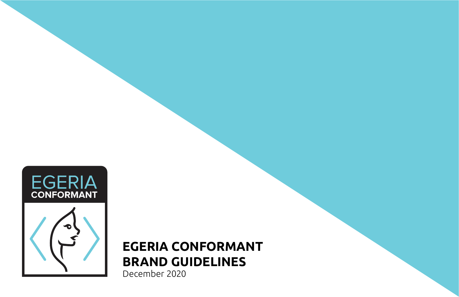

# **EGERIA CONFORMANT BRAND GUIDELINES**

December 2020

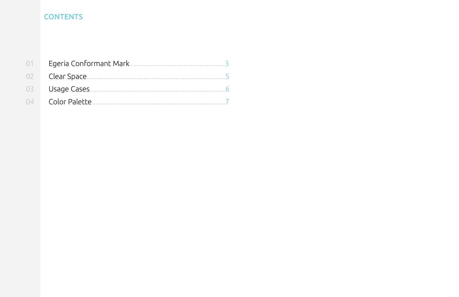## **CONTENTS**

| $2 \Box$      |  |
|---------------|--|
| $\mathcal{E}$ |  |
|               |  |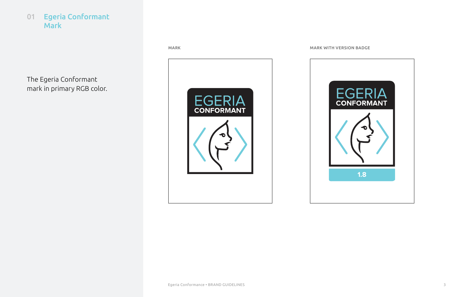

#### MARK WITH VERSION BADGE

The Egeria Conformant mark in primary RGB color.



<span id="page-2-0"></span>01 Egeria Conformant Mark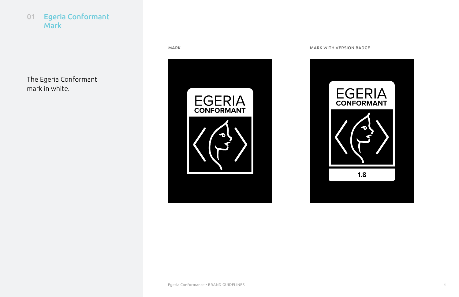#### MARK WITH VERSION BADGE

The Egeria Conformant mark in white.





01 Egeria Conformant Mark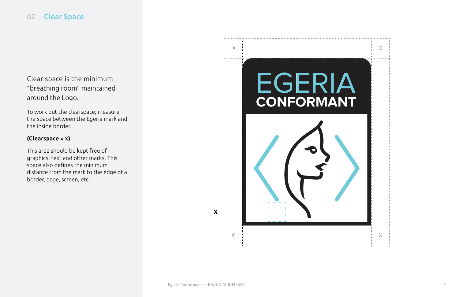$X$  $\times$   $\overline{\phantom{a}}$   $\overline{\phantom{a}}$   $\overline{\phantom{a}}$   $\overline{\phantom{a}}$   $\overline{\phantom{a}}$   $\overline{\phantom{a}}$   $\overline{\phantom{a}}$   $\overline{\phantom{a}}$   $\overline{\phantom{a}}$   $\overline{\phantom{a}}$   $\overline{\phantom{a}}$   $\overline{\phantom{a}}$   $\overline{\phantom{a}}$   $\overline{\phantom{a}}$   $\overline{\phantom{a}}$   $\overline{\phantom{a}}$   $\overline{\phantom{a}}$   $\overline{\phantom{a}}$  EGERIA CONFORMANT **X**  $\times$ **1.8**

Clear space is the minimum "breathing room" maintained around the Logo.

To work out the clearspace, measure the space between the Egeria mark and the inside border.

#### **(Clearspace = x)**

This area should be kept free of graphics, text and other marks. This space also defines the minimum distance from the mark to the edge of a border, page, screen, etc.

### <span id="page-4-0"></span>02 Clear Space

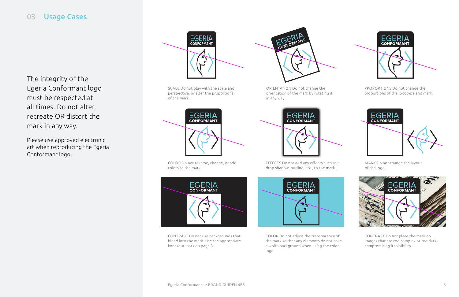EFFECTS Do not add any effects such as a drop shadow, outline, etc., to the mark.



MARK Do not change the layout of the logo.



#### <span id="page-5-0"></span>03 Usage Cases

COLOR Do not adjust the transparency of the mark so that any elements do not have a white background when using the color logo.

CONTRAST Do not place the mark on images that are too complex or too dark, compromising its visibility.

CONTRAST Do not use backgrounds that blend into the mark. Use the appropriate knockout mark on page 3.



ORIENTATION Do not change the orientation of the mark by rotating it in any way.



COLOR Do not reverse, change, or add colors to the mark.



PROPORTIONS Do not change the proportions of the logotype and mark.



SCALE Do not play with the scale and perspective, or alter the proportions of the mark.



The integrity of the Egeria Conformant logo must be respected at all times. Do not alter, recreate OR distort the mark in any way.

Please use approved electronic art when reproducing the Egeria Conformant logo.



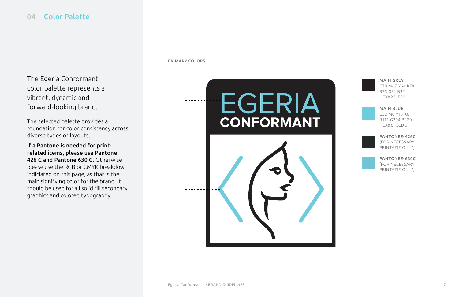MAIN GREY C70 M67 Y64 K74 R35 G31 B32 HEX#231F20



MAIN BLUE C52 M0 Y13 K0 R111 G204 B220 HEX#6FCCDC



PANTONE® 426C (FOR NECESSARY PRINT-USE ONLY)



PANTONE® 630C (FOR NECESSARY PRINT-USE ONLY)



#### <span id="page-6-0"></span>04 Color Palette

The Egeria Conformant color palette represents a vibrant, dynamic and forward-looking brand.

The selected palette provides a foundation for color consistency across diverse types of layouts.

If a Pantone is needed for printrelated items, please use Pantone 426 C and Pantone 630 C. Otherwise please use the RGB or CMYK breakdown indiciated on this page, as that is the main signifying color for the brand. It should be used for all solid fill secondary graphics and colored typography.

# EGERIA **CONFORMANT**



PRIMARY COLORS

. . . . . . . . . . . . .